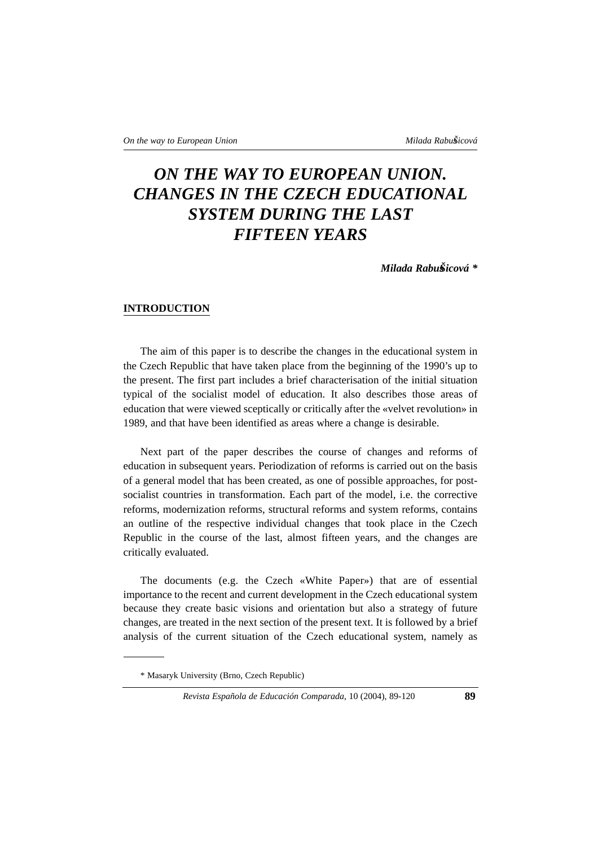# *ON THE WAY TO EUROPEAN UNION. CHANGES IN THE CZECH EDUCATIONAL SYSTEM DURING THE LAST FIFTEEN YEARS*

*Milada RabusŠicová \**

#### **INTRODUCTION**

The aim of this paper is to describe the changes in the educational system in the Czech Republic that have taken place from the beginning of the 1990's up to the present. The first part includes a brief characterisation of the initial situation typical of the socialist model of education. It also describes those areas of education that were viewed sceptically or critically after the «velvet revolution» in 1989, and that have been identified as areas where a change is desirable.

Next part of the paper describes the course of changes and reforms of education in subsequent years. Periodization of reforms is carried out on the basis of a general model that has been created, as one of possible approaches, for postsocialist countries in transformation. Each part of the model, i.e. the corrective reforms, modernization reforms, structural reforms and system reforms, contains an outline of the respective individual changes that took place in the Czech Republic in the course of the last, almost fifteen years, and the changes are critically evaluated.

The documents (e.g. the Czech «White Paper») that are of essential importance to the recent and current development in the Czech educational system because they create basic visions and orientation but also a strategy of future changes, are treated in the next section of the present text. It is followed by a brief analysis of the current situation of the Czech educational system, namely as

<sup>\*</sup> Masaryk University (Brno, Czech Republic)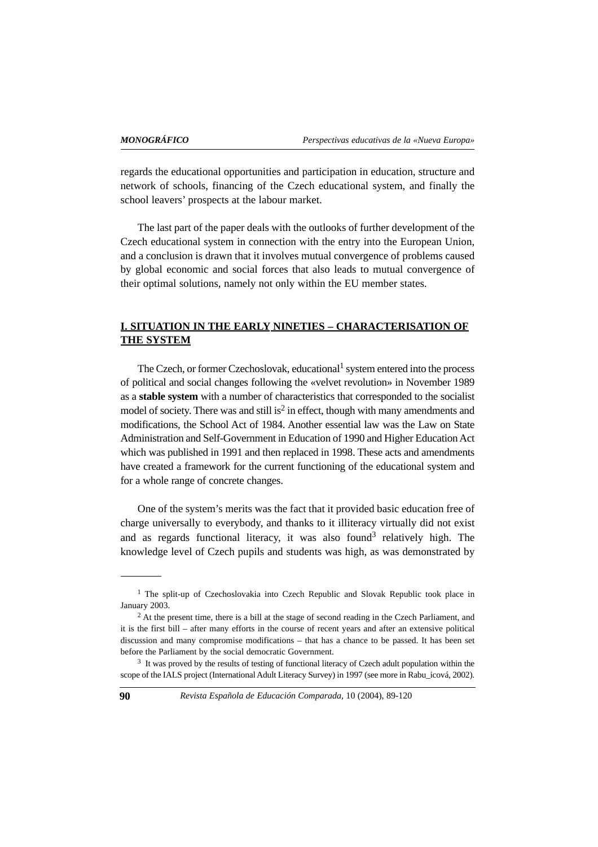regards the educational opportunities and participation in education, structure and network of schools, financing of the Czech educational system, and finally the school leavers' prospects at the labour market.

The last part of the paper deals with the outlooks of further development of the Czech educational system in connection with the entry into the European Union, and a conclusion is drawn that it involves mutual convergence of problems caused by global economic and social forces that also leads to mutual convergence of their optimal solutions, namely not only within the EU member states.

# **I. SITUATION IN THE EARLY NINETIES – CHARACTERISATION OF THE SYSTEM**

The Czech, or former Czechoslovak, educational<sup>1</sup> system entered into the process of political and social changes following the «velvet revolution» in November 1989 as a **stable system** with a number of characteristics that corresponded to the socialist model of society. There was and still is<sup>2</sup> in effect, though with many amendments and modifications, the School Act of 1984. Another essential law was the Law on State Administration and Self-Government in Education of 1990 and Higher Education Act which was published in 1991 and then replaced in 1998. These acts and amendments have created a framework for the current functioning of the educational system and for a whole range of concrete changes.

One of the system's merits was the fact that it provided basic education free of charge universally to everybody, and thanks to it illiteracy virtually did not exist and as regards functional literacy, it was also found<sup>3</sup> relatively high. The knowledge level of Czech pupils and students was high, as was demonstrated by

<sup>&</sup>lt;sup>1</sup> The split-up of Czechoslovakia into Czech Republic and Slovak Republic took place in January 2003.

<sup>&</sup>lt;sup>2</sup> At the present time, there is a bill at the stage of second reading in the Czech Parliament, and it is the first bill – after many efforts in the course of recent years and after an extensive political discussion and many compromise modifications – that has a chance to be passed. It has been set before the Parliament by the social democratic Government.

<sup>3</sup> It was proved by the results of testing of functional literacy of Czech adult population within the scope of the IALS project (International Adult Literacy Survey) in 1997 (see more in Rabu\_icová, 2002).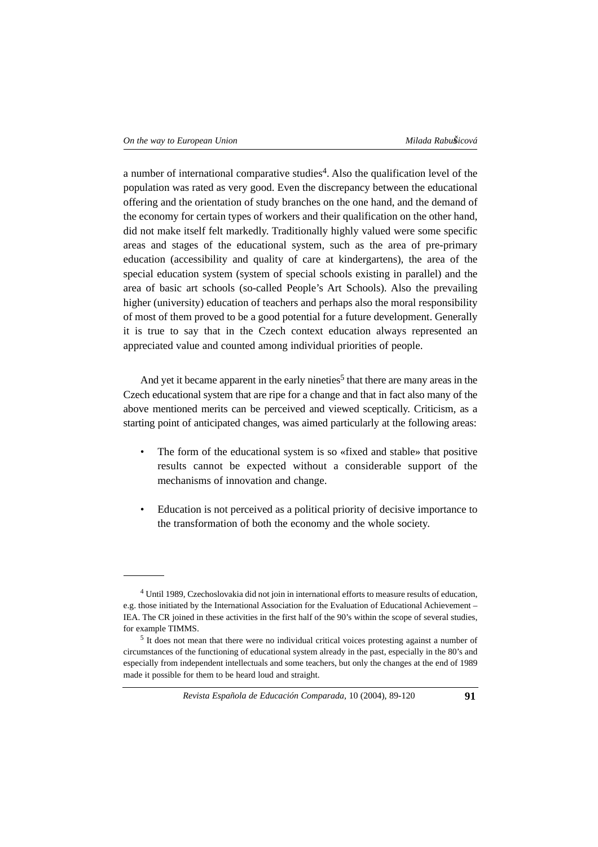a number of international comparative studies<sup>4</sup>. Also the qualification level of the population was rated as very good. Even the discrepancy between the educational offering and the orientation of study branches on the one hand, and the demand of the economy for certain types of workers and their qualification on the other hand, did not make itself felt markedly. Traditionally highly valued were some specific areas and stages of the educational system, such as the area of pre-primary education (accessibility and quality of care at kindergartens), the area of the special education system (system of special schools existing in parallel) and the area of basic art schools (so-called People's Art Schools). Also the prevailing higher (university) education of teachers and perhaps also the moral responsibility of most of them proved to be a good potential for a future development. Generally it is true to say that in the Czech context education always represented an appreciated value and counted among individual priorities of people.

And yet it became apparent in the early nineties<sup>5</sup> that there are many areas in the Czech educational system that are ripe for a change and that in fact also many of the above mentioned merits can be perceived and viewed sceptically. Criticism, as a starting point of anticipated changes, was aimed particularly at the following areas:

- The form of the educational system is so «fixed and stable» that positive results cannot be expected without a considerable support of the mechanisms of innovation and change.
- Education is not perceived as a political priority of decisive importance to the transformation of both the economy and the whole society.

<sup>&</sup>lt;sup>4</sup> Until 1989, Czechoslovakia did not join in international efforts to measure results of education. e.g. those initiated by the International Association for the Evaluation of Educational Achievement – IEA. The CR joined in these activities in the first half of the 90's within the scope of several studies, for example TIMMS.

<sup>5</sup> It does not mean that there were no individual critical voices protesting against a number of circumstances of the functioning of educational system already in the past, especially in the 80's and especially from independent intellectuals and some teachers, but only the changes at the end of 1989 made it possible for them to be heard loud and straight.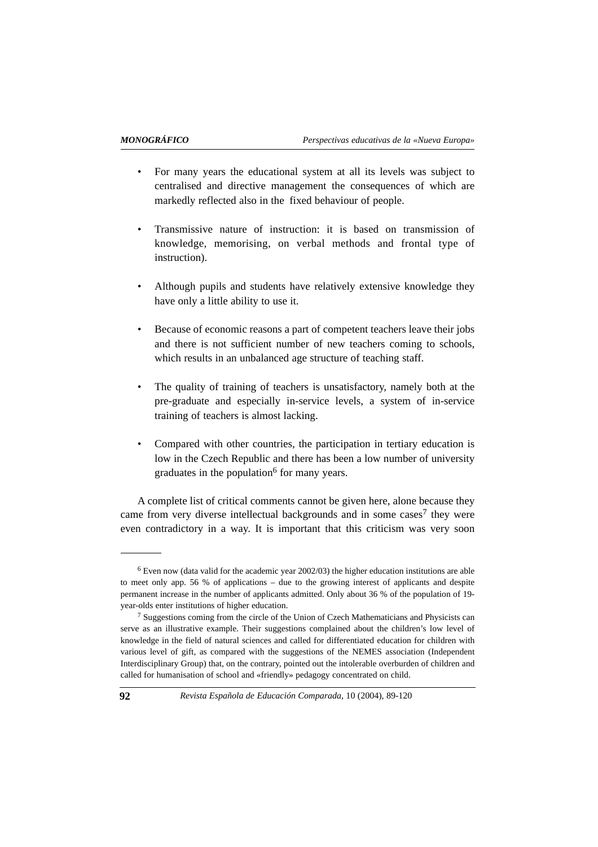- For many years the educational system at all its levels was subject to centralised and directive management the consequences of which are markedly reflected also in the fixed behaviour of people.
- Transmissive nature of instruction: it is based on transmission of knowledge, memorising, on verbal methods and frontal type of instruction).
- Although pupils and students have relatively extensive knowledge they have only a little ability to use it.
- Because of economic reasons a part of competent teachers leave their jobs and there is not sufficient number of new teachers coming to schools, which results in an unbalanced age structure of teaching staff.
- The quality of training of teachers is unsatisfactory, namely both at the pre-graduate and especially in-service levels, a system of in-service training of teachers is almost lacking.
- Compared with other countries, the participation in tertiary education is low in the Czech Republic and there has been a low number of university graduates in the population<sup>6</sup> for many years.

A complete list of critical comments cannot be given here, alone because they came from very diverse intellectual backgrounds and in some cases<sup>7</sup> they were even contradictory in a way. It is important that this criticism was very soon

 $6$  Even now (data valid for the academic year 2002/03) the higher education institutions are able to meet only app. 56 % of applications – due to the growing interest of applicants and despite permanent increase in the number of applicants admitted. Only about 36 % of the population of 19 year-olds enter institutions of higher education.

<sup>7</sup> Suggestions coming from the circle of the Union of Czech Mathematicians and Physicists can serve as an illustrative example. Their suggestions complained about the children's low level of knowledge in the field of natural sciences and called for differentiated education for children with various level of gift, as compared with the suggestions of the NEMES association (Independent Interdisciplinary Group) that, on the contrary, pointed out the intolerable overburden of children and called for humanisation of school and «friendly» pedagogy concentrated on child.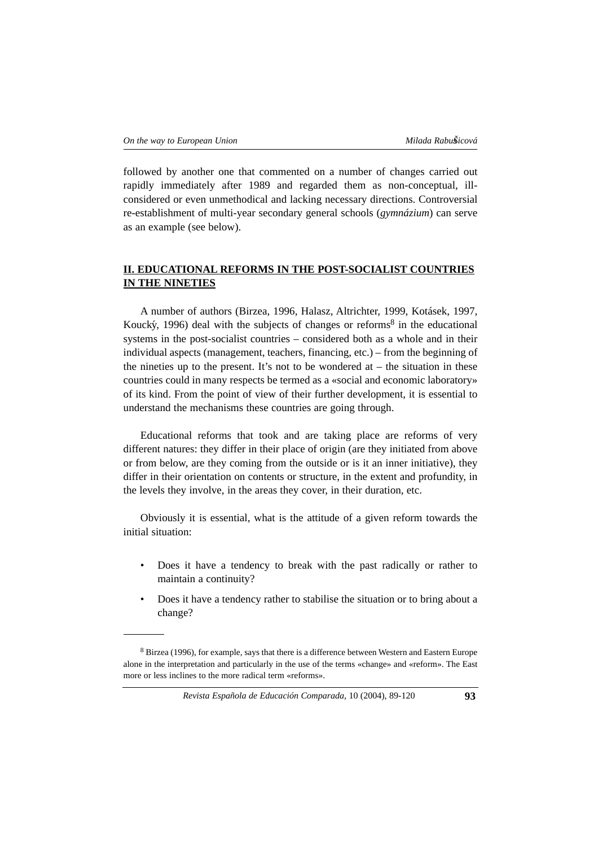followed by another one that commented on a number of changes carried out rapidly immediately after 1989 and regarded them as non-conceptual, illconsidered or even unmethodical and lacking necessary directions. Controversial re-establishment of multi-year secondary general schools (*gymnázium*) can serve as an example (see below).

# **II. EDUCATIONAL REFORMS IN THE POST-SOCIALIST COUNTRIES IN THE NINETIES**

A number of authors (Birzea, 1996, Halasz, Altrichter, 1999, Kotásek, 1997, Koucký, 1996) deal with the subjects of changes or reforms<sup>8</sup> in the educational systems in the post-socialist countries – considered both as a whole and in their individual aspects (management, teachers, financing, etc.) – from the beginning of the nineties up to the present. It's not to be wondered at  $-$  the situation in these countries could in many respects be termed as a «social and economic laboratory» of its kind. From the point of view of their further development, it is essential to understand the mechanisms these countries are going through.

Educational reforms that took and are taking place are reforms of very different natures: they differ in their place of origin (are they initiated from above or from below, are they coming from the outside or is it an inner initiative), they differ in their orientation on contents or structure, in the extent and profundity, in the levels they involve, in the areas they cover, in their duration, etc.

Obviously it is essential, what is the attitude of a given reform towards the initial situation:

- Does it have a tendency to break with the past radically or rather to maintain a continuity?
- Does it have a tendency rather to stabilise the situation or to bring about a change?

<sup>8</sup> Birzea (1996), for example, says that there is a difference between Western and Eastern Europe alone in the interpretation and particularly in the use of the terms «change» and «reform». The East more or less inclines to the more radical term «reforms».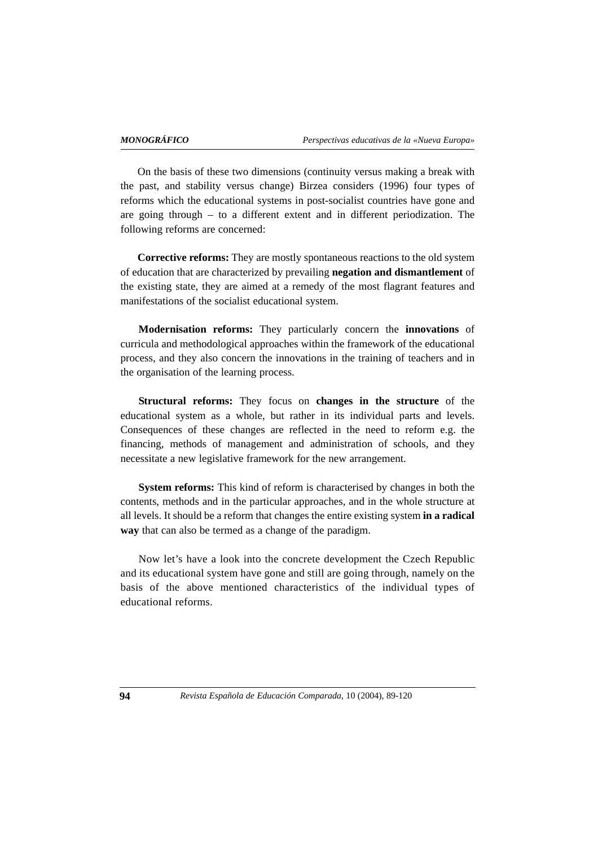On the basis of these two dimensions (continuity versus making a break with the past, and stability versus change) Birzea considers (1996) four types of reforms which the educational systems in post-socialist countries have gone and are going through – to a different extent and in different periodization. The following reforms are concerned:

**Corrective reforms:** They are mostly spontaneous reactions to the old system of education that are characterized by prevailing **negation and dismantlement** of the existing state, they are aimed at a remedy of the most flagrant features and manifestations of the socialist educational system.

**Modernisation reforms:** They particularly concern the **innovations** of curricula and methodological approaches within the framework of the educational process, and they also concern the innovations in the training of teachers and in the organisation of the learning process.

**Structural reforms:** They focus on **changes in the structure** of the educational system as a whole, but rather in its individual parts and levels. Consequences of these changes are reflected in the need to reform e.g. the financing, methods of management and administration of schools, and they necessitate a new legislative framework for the new arrangement.

**System reforms:** This kind of reform is characterised by changes in both the contents, methods and in the particular approaches, and in the whole structure at all levels. It should be a reform that changes the entire existing system **in a radical way** that can also be termed as a change of the paradigm.

Now let's have a look into the concrete development the Czech Republic and its educational system have gone and still are going through, namely on the basis of the above mentioned characteristics of the individual types of educational reforms.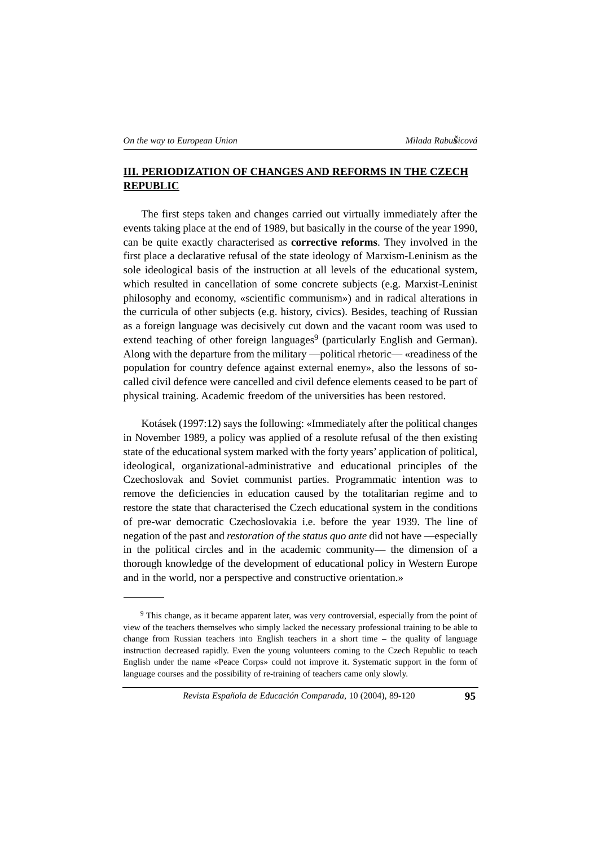# **III. PERIODIZATION OF CHANGES AND REFORMS IN THE CZECH REPUBLIC**

The first steps taken and changes carried out virtually immediately after the events taking place at the end of 1989, but basically in the course of the year 1990, can be quite exactly characterised as **corrective reforms**. They involved in the first place a declarative refusal of the state ideology of Marxism-Leninism as the sole ideological basis of the instruction at all levels of the educational system, which resulted in cancellation of some concrete subjects (e.g. Marxist-Leninist philosophy and economy, «scientific communism») and in radical alterations in the curricula of other subjects (e.g. history, civics). Besides, teaching of Russian as a foreign language was decisively cut down and the vacant room was used to extend teaching of other foreign languages<sup>9</sup> (particularly English and German). Along with the departure from the military —political rhetoric— «readiness of the population for country defence against external enemy», also the lessons of socalled civil defence were cancelled and civil defence elements ceased to be part of physical training. Academic freedom of the universities has been restored.

Kotásek (1997:12) says the following: «Immediately after the political changes in November 1989, a policy was applied of a resolute refusal of the then existing state of the educational system marked with the forty years' application of political, ideological, organizational-administrative and educational principles of the Czechoslovak and Soviet communist parties. Programmatic intention was to remove the deficiencies in education caused by the totalitarian regime and to restore the state that characterised the Czech educational system in the conditions of pre-war democratic Czechoslovakia i.e. before the year 1939. The line of negation of the past and *restoration of the status quo ante* did not have —especially in the political circles and in the academic community— the dimension of a thorough knowledge of the development of educational policy in Western Europe and in the world, nor a perspective and constructive orientation.»

<sup>9</sup> This change, as it became apparent later, was very controversial, especially from the point of view of the teachers themselves who simply lacked the necessary professional training to be able to change from Russian teachers into English teachers in a short time – the quality of language instruction decreased rapidly. Even the young volunteers coming to the Czech Republic to teach English under the name «Peace Corps» could not improve it. Systematic support in the form of language courses and the possibility of re-training of teachers came only slowly.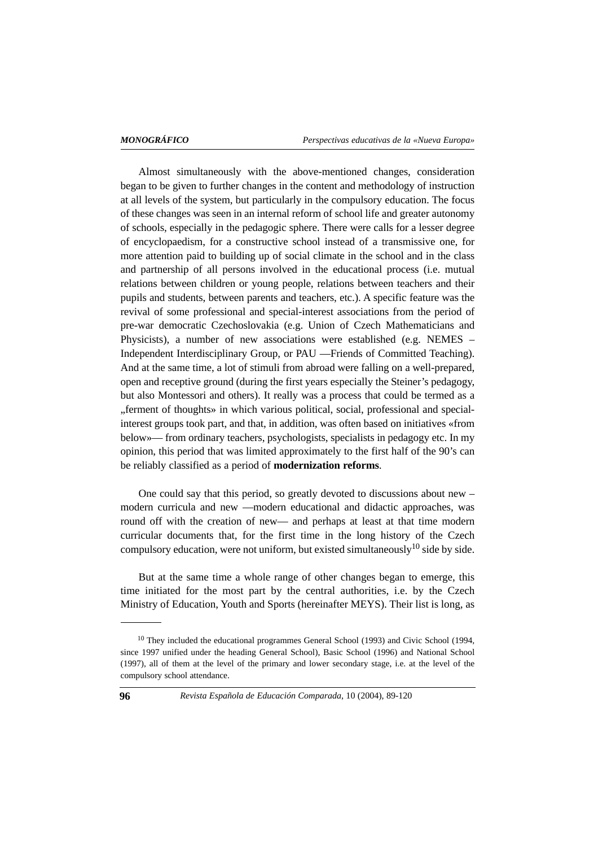Almost simultaneously with the above-mentioned changes, consideration began to be given to further changes in the content and methodology of instruction at all levels of the system, but particularly in the compulsory education. The focus of these changes was seen in an internal reform of school life and greater autonomy of schools, especially in the pedagogic sphere. There were calls for a lesser degree of encyclopaedism, for a constructive school instead of a transmissive one, for more attention paid to building up of social climate in the school and in the class and partnership of all persons involved in the educational process (i.e. mutual relations between children or young people, relations between teachers and their pupils and students, between parents and teachers, etc.). A specific feature was the revival of some professional and special-interest associations from the period of pre-war democratic Czechoslovakia (e.g. Union of Czech Mathematicians and Physicists), a number of new associations were established (e.g. NEMES – Independent Interdisciplinary Group, or PAU —Friends of Committed Teaching). And at the same time, a lot of stimuli from abroad were falling on a well-prepared, open and receptive ground (during the first years especially the Steiner's pedagogy, but also Montessori and others). It really was a process that could be termed as a "ferment of thoughts» in which various political, social, professional and specialinterest groups took part, and that, in addition, was often based on initiatives «from below»— from ordinary teachers, psychologists, specialists in pedagogy etc. In my opinion, this period that was limited approximately to the first half of the 90's can be reliably classified as a period of **modernization reforms**.

One could say that this period, so greatly devoted to discussions about new – modern curricula and new —modern educational and didactic approaches, was round off with the creation of new— and perhaps at least at that time modern curricular documents that, for the first time in the long history of the Czech compulsory education, were not uniform, but existed simultaneously<sup>10</sup> side by side.

But at the same time a whole range of other changes began to emerge, this time initiated for the most part by the central authorities, i.e. by the Czech Ministry of Education, Youth and Sports (hereinafter MEYS). Their list is long, as

<sup>&</sup>lt;sup>10</sup> They included the educational programmes General School (1993) and Civic School (1994, since 1997 unified under the heading General School), Basic School (1996) and National School (1997), all of them at the level of the primary and lower secondary stage, i.e. at the level of the compulsory school attendance.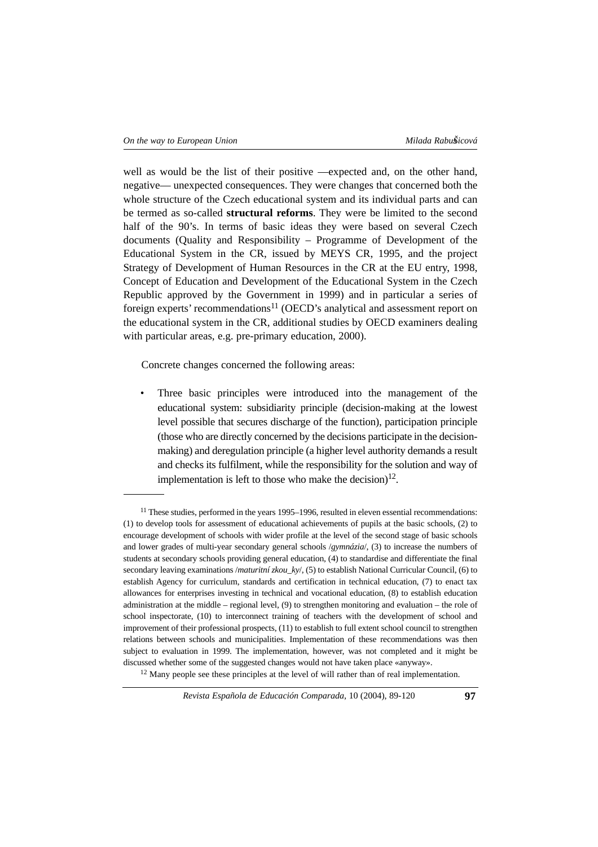well as would be the list of their positive —expected and, on the other hand, negative— unexpected consequences. They were changes that concerned both the whole structure of the Czech educational system and its individual parts and can be termed as so-called **structural reforms**. They were be limited to the second half of the 90's. In terms of basic ideas they were based on several Czech documents (Quality and Responsibility – Programme of Development of the Educational System in the CR, issued by MEYS CR, 1995, and the project Strategy of Development of Human Resources in the CR at the EU entry, 1998, Concept of Education and Development of the Educational System in the Czech Republic approved by the Government in 1999) and in particular a series of foreign experts' recommendations<sup>11</sup> (OECD's analytical and assessment report on the educational system in the CR, additional studies by OECD examiners dealing with particular areas, e.g. pre-primary education, 2000).

Concrete changes concerned the following areas:

Three basic principles were introduced into the management of the educational system: subsidiarity principle (decision-making at the lowest level possible that secures discharge of the function), participation principle (those who are directly concerned by the decisions participate in the decisionmaking) and deregulation principle (a higher level authority demands a result and checks its fulfilment, while the responsibility for the solution and way of implementation is left to those who make the decision)<sup>12</sup>.

<sup>&</sup>lt;sup>11</sup> These studies, performed in the years 1995–1996, resulted in eleven essential recommendations: (1) to develop tools for assessment of educational achievements of pupils at the basic schools, (2) to encourage development of schools with wider profile at the level of the second stage of basic schools and lower grades of multi-year secondary general schools /*gymnázia*/, (3) to increase the numbers of students at secondary schools providing general education, (4) to standardise and differentiate the final secondary leaving examinations */maturitní zkou* ky/, (5) to establish National Curricular Council, (6) to establish Agency for curriculum, standards and certification in technical education, (7) to enact tax allowances for enterprises investing in technical and vocational education, (8) to establish education administration at the middle – regional level, (9) to strengthen monitoring and evaluation – the role of school inspectorate, (10) to interconnect training of teachers with the development of school and improvement of their professional prospects, (11) to establish to full extent school council to strengthen relations between schools and municipalities. Implementation of these recommendations was then subject to evaluation in 1999. The implementation, however, was not completed and it might be discussed whether some of the suggested changes would not have taken place «anyway».<br><sup>12</sup> Many people see these principles at the level of will rather than of real implementation.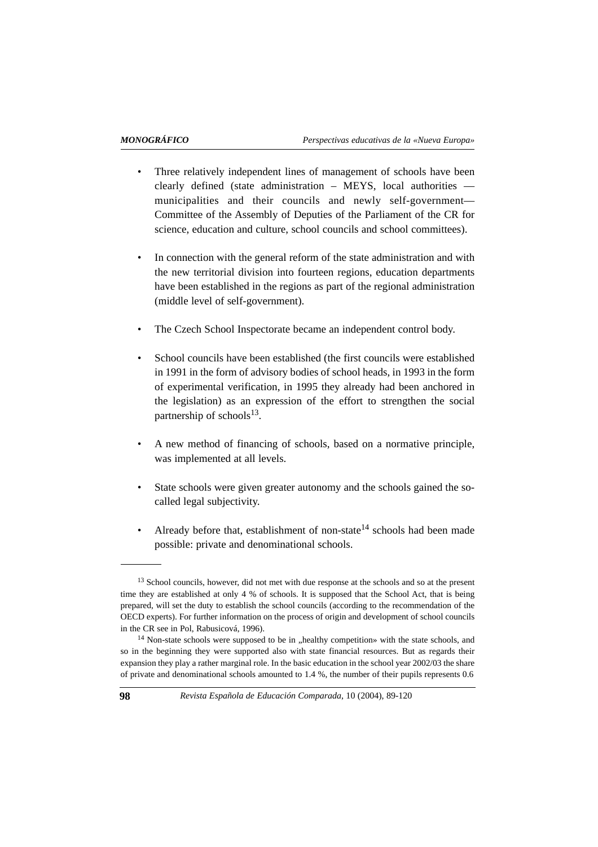- Three relatively independent lines of management of schools have been clearly defined (state administration – MEYS, local authorities municipalities and their councils and newly self-government— Committee of the Assembly of Deputies of the Parliament of the CR for science, education and culture, school councils and school committees).
- In connection with the general reform of the state administration and with the new territorial division into fourteen regions, education departments have been established in the regions as part of the regional administration (middle level of self-government).
- The Czech School Inspectorate became an independent control body.
- School councils have been established (the first councils were established in 1991 in the form of advisory bodies of school heads, in 1993 in the form of experimental verification, in 1995 they already had been anchored in the legislation) as an expression of the effort to strengthen the social partnership of schools<sup>13</sup>.
- A new method of financing of schools, based on a normative principle, was implemented at all levels.
- State schools were given greater autonomy and the schools gained the socalled legal subjectivity.
- Already before that, establishment of non-state<sup>14</sup> schools had been made possible: private and denominational schools.

<sup>&</sup>lt;sup>13</sup> School councils, however, did not met with due response at the schools and so at the present time they are established at only 4 % of schools. It is supposed that the School Act, that is being prepared, will set the duty to establish the school councils (according to the recommendation of the OECD experts). For further information on the process of origin and development of school councils in the CR see in Pol, Rabusicová, 1996).

<sup>&</sup>lt;sup>14</sup> Non-state schools were supposed to be in ,,healthy competition» with the state schools, and so in the beginning they were supported also with state financial resources. But as regards their expansion they play a rather marginal role. In the basic education in the school year 2002/03 the share of private and denominational schools amounted to 1.4 %, the number of their pupils represents 0.6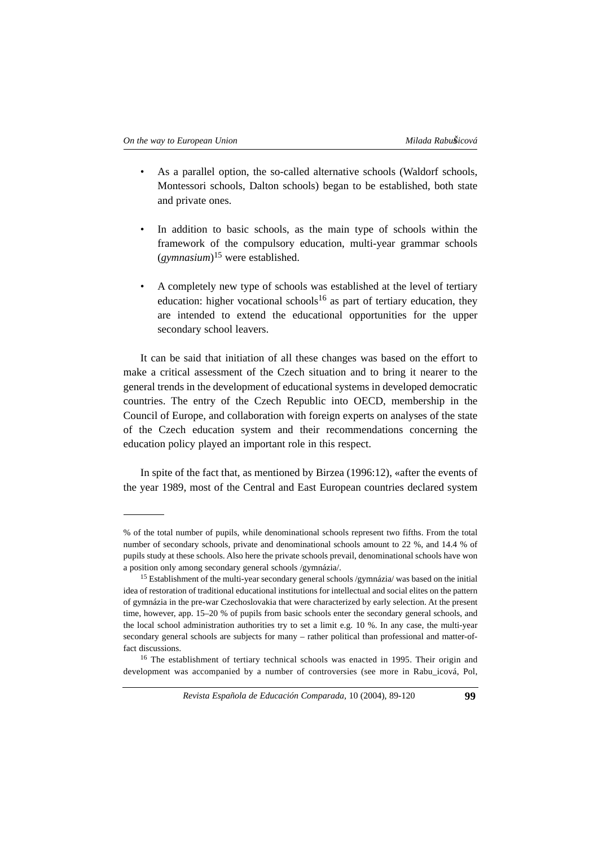- As a parallel option, the so-called alternative schools (Waldorf schools, Montessori schools, Dalton schools) began to be established, both state and private ones.
- In addition to basic schools, as the main type of schools within the framework of the compulsory education, multi-year grammar schools (*gymnasium*)<sup>15</sup> were established.
- A completely new type of schools was established at the level of tertiary education: higher vocational schools<sup>16</sup> as part of tertiary education, they are intended to extend the educational opportunities for the upper secondary school leavers.

It can be said that initiation of all these changes was based on the effort to make a critical assessment of the Czech situation and to bring it nearer to the general trends in the development of educational systems in developed democratic countries. The entry of the Czech Republic into OECD, membership in the Council of Europe, and collaboration with foreign experts on analyses of the state of the Czech education system and their recommendations concerning the education policy played an important role in this respect.

In spite of the fact that, as mentioned by Birzea (1996:12), «after the events of the year 1989, most of the Central and East European countries declared system

*Revista Española de Educación Comparada*, 10 (2004), 89-120 **99**

<sup>%</sup> of the total number of pupils, while denominational schools represent two fifths. From the total number of secondary schools, private and denominational schools amount to 22 %, and 14.4 % of pupils study at these schools. Also here the private schools prevail, denominational schools have won a position only among secondary general schools /gymnázia/.

<sup>&</sup>lt;sup>15</sup> Establishment of the multi-year secondary general schools /gymnázia/ was based on the initial idea of restoration of traditional educational institutions for intellectual and social elites on the pattern of gymnázia in the pre-war Czechoslovakia that were characterized by early selection. At the present time, however, app. 15–20 % of pupils from basic schools enter the secondary general schools, and the local school administration authorities try to set a limit e.g. 10 %. In any case, the multi-year secondary general schools are subjects for many – rather political than professional and matter-offact discussions.

<sup>&</sup>lt;sup>16</sup> The establishment of tertiary technical schools was enacted in 1995. Their origin and development was accompanied by a number of controversies (see more in Rabu\_icová, Pol,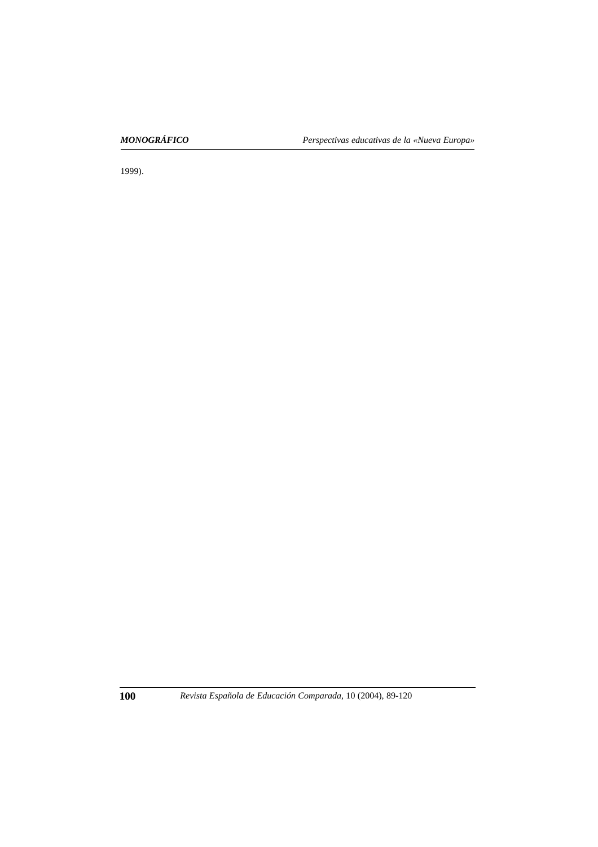1999).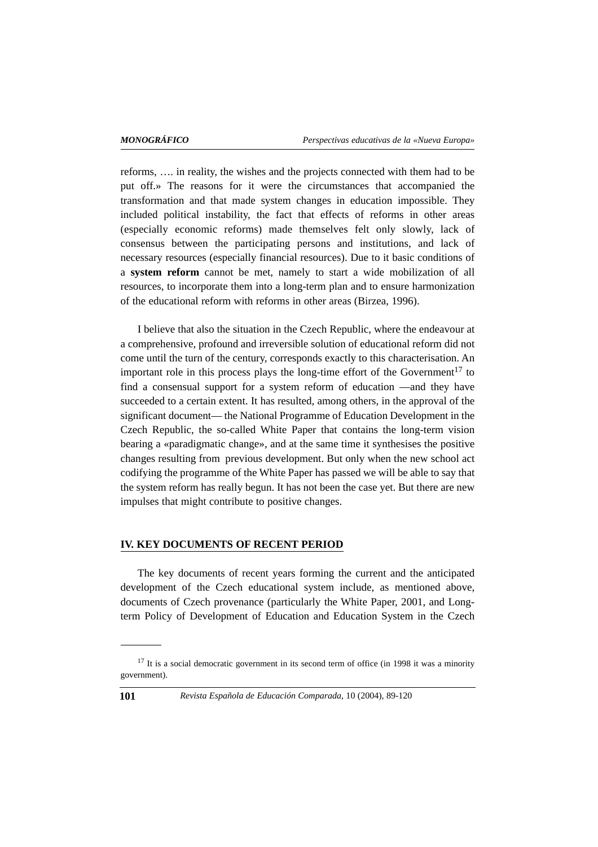reforms, …. in reality, the wishes and the projects connected with them had to be put off.» The reasons for it were the circumstances that accompanied the transformation and that made system changes in education impossible. They included political instability, the fact that effects of reforms in other areas (especially economic reforms) made themselves felt only slowly, lack of consensus between the participating persons and institutions, and lack of necessary resources (especially financial resources). Due to it basic conditions of a **system reform** cannot be met, namely to start a wide mobilization of all resources, to incorporate them into a long-term plan and to ensure harmonization of the educational reform with reforms in other areas (Birzea, 1996).

I believe that also the situation in the Czech Republic, where the endeavour at a comprehensive, profound and irreversible solution of educational reform did not come until the turn of the century, corresponds exactly to this characterisation. An important role in this process plays the long-time effort of the Government<sup>17</sup> to find a consensual support for a system reform of education —and they have succeeded to a certain extent. It has resulted, among others, in the approval of the significant document— the National Programme of Education Development in the Czech Republic, the so-called White Paper that contains the long-term vision bearing a «paradigmatic change», and at the same time it synthesises the positive changes resulting from previous development. But only when the new school act codifying the programme of the White Paper has passed we will be able to say that the system reform has really begun. It has not been the case yet. But there are new impulses that might contribute to positive changes.

#### **IV. KEY DOCUMENTS OF RECENT PERIOD**

The key documents of recent years forming the current and the anticipated development of the Czech educational system include, as mentioned above, documents of Czech provenance (particularly the White Paper, 2001, and Longterm Policy of Development of Education and Education System in the Czech

<sup>&</sup>lt;sup>17</sup> It is a social democratic government in its second term of office (in 1998 it was a minority government).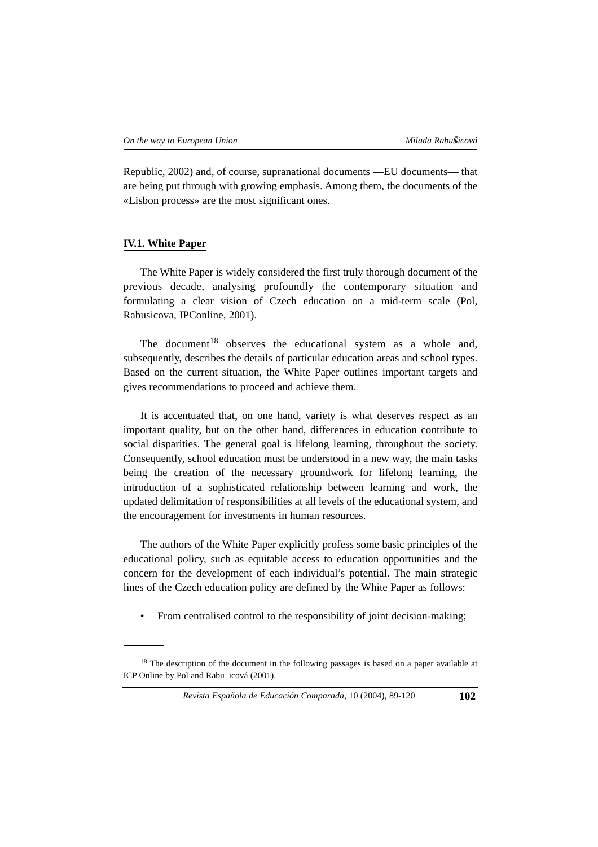Republic, 2002) and, of course, supranational documents —EU documents— that are being put through with growing emphasis. Among them, the documents of the «Lisbon process» are the most significant ones.

### **IV.1. White Paper**

The White Paper is widely considered the first truly thorough document of the previous decade, analysing profoundly the contemporary situation and formulating a clear vision of Czech education on a mid-term scale (Pol, Rabusicova, IPConline, 2001).

The document<sup>18</sup> observes the educational system as a whole and, subsequently, describes the details of particular education areas and school types. Based on the current situation, the White Paper outlines important targets and gives recommendations to proceed and achieve them.

It is accentuated that, on one hand, variety is what deserves respect as an important quality, but on the other hand, differences in education contribute to social disparities. The general goal is lifelong learning, throughout the society. Consequently, school education must be understood in a new way, the main tasks being the creation of the necessary groundwork for lifelong learning, the introduction of a sophisticated relationship between learning and work, the updated delimitation of responsibilities at all levels of the educational system, and the encouragement for investments in human resources.

The authors of the White Paper explicitly profess some basic principles of the educational policy, such as equitable access to education opportunities and the concern for the development of each individual's potential. The main strategic lines of the Czech education policy are defined by the White Paper as follows:

• From centralised control to the responsibility of joint decision-making;

*Revista Española de Educación Comparada*, 10 (2004), 89-120 **102**

<sup>&</sup>lt;sup>18</sup> The description of the document in the following passages is based on a paper available at ICP Online by Pol and Rabu\_icová (2001).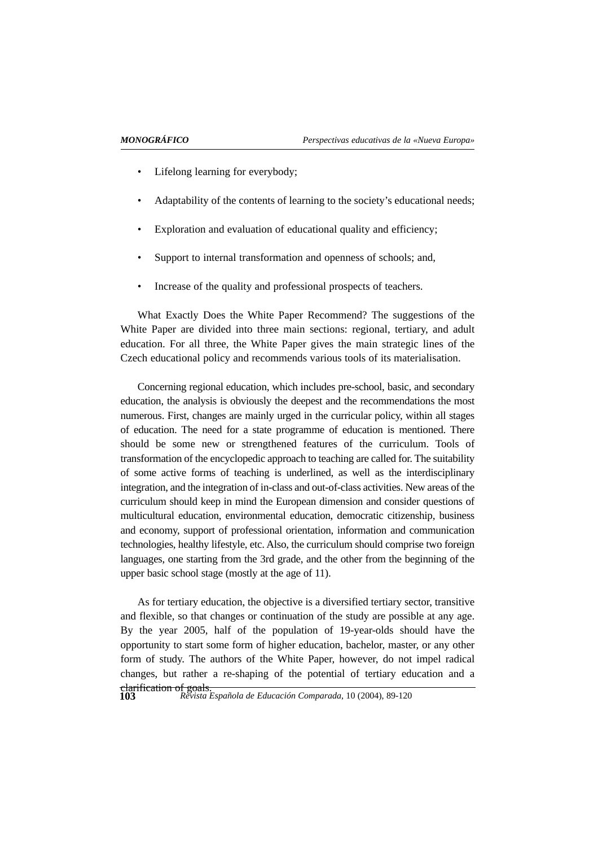- Lifelong learning for everybody;
- Adaptability of the contents of learning to the society's educational needs;
- Exploration and evaluation of educational quality and efficiency;
- Support to internal transformation and openness of schools; and,
- Increase of the quality and professional prospects of teachers.

What Exactly Does the White Paper Recommend? The suggestions of the White Paper are divided into three main sections: regional, tertiary, and adult education. For all three, the White Paper gives the main strategic lines of the Czech educational policy and recommends various tools of its materialisation.

Concerning regional education, which includes pre-school, basic, and secondary education, the analysis is obviously the deepest and the recommendations the most numerous. First, changes are mainly urged in the curricular policy, within all stages of education. The need for a state programme of education is mentioned. There should be some new or strengthened features of the curriculum. Tools of transformation of the encyclopedic approach to teaching are called for. The suitability of some active forms of teaching is underlined, as well as the interdisciplinary integration, and the integration of in-class and out-of-class activities. New areas of the curriculum should keep in mind the European dimension and consider questions of multicultural education, environmental education, democratic citizenship, business and economy, support of professional orientation, information and communication technologies, healthy lifestyle, etc. Also, the curriculum should comprise two foreign languages, one starting from the 3rd grade, and the other from the beginning of the upper basic school stage (mostly at the age of 11).

As for tertiary education, the objective is a diversified tertiary sector, transitive and flexible, so that changes or continuation of the study are possible at any age. By the year 2005, half of the population of 19-year-olds should have the opportunity to start some form of higher education, bachelor, master, or any other form of study. The authors of the White Paper, however, do not impel radical changes, but rather a re-shaping of the potential of tertiary education and a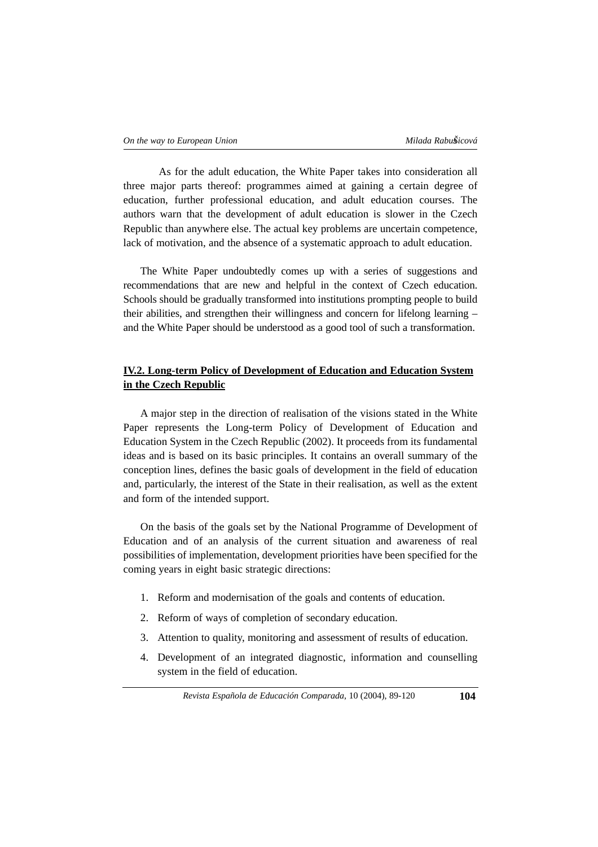As for the adult education, the White Paper takes into consideration all three major parts thereof: programmes aimed at gaining a certain degree of education, further professional education, and adult education courses. The authors warn that the development of adult education is slower in the Czech Republic than anywhere else. The actual key problems are uncertain competence, lack of motivation, and the absence of a systematic approach to adult education.

The White Paper undoubtedly comes up with a series of suggestions and recommendations that are new and helpful in the context of Czech education. Schools should be gradually transformed into institutions prompting people to build their abilities, and strengthen their willingness and concern for lifelong learning – and the White Paper should be understood as a good tool of such a transformation.

# **IV.2. Long-term Policy of Development of Education and Education System in the Czech Republic**

A major step in the direction of realisation of the visions stated in the White Paper represents the Long-term Policy of Development of Education and Education System in the Czech Republic (2002). It proceeds from its fundamental ideas and is based on its basic principles. It contains an overall summary of the conception lines, defines the basic goals of development in the field of education and, particularly, the interest of the State in their realisation, as well as the extent and form of the intended support.

On the basis of the goals set by the National Programme of Development of Education and of an analysis of the current situation and awareness of real possibilities of implementation, development priorities have been specified for the coming years in eight basic strategic directions:

- 1. Reform and modernisation of the goals and contents of education.
- 2. Reform of ways of completion of secondary education.
- 3. Attention to quality, monitoring and assessment of results of education.
- 4. Development of an integrated diagnostic, information and counselling system in the field of education.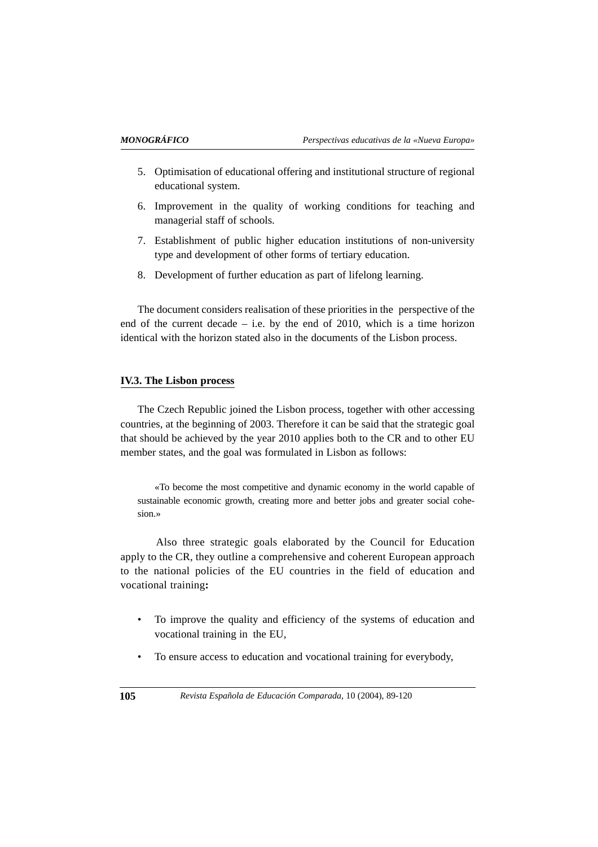- 5. Optimisation of educational offering and institutional structure of regional educational system.
- 6. Improvement in the quality of working conditions for teaching and managerial staff of schools.
- 7. Establishment of public higher education institutions of non-university type and development of other forms of tertiary education.
- 8. Development of further education as part of lifelong learning.

The document considers realisation of these priorities in the perspective of the end of the current decade – i.e. by the end of 2010, which is a time horizon identical with the horizon stated also in the documents of the Lisbon process.

#### **IV.3. The Lisbon process**

The Czech Republic joined the Lisbon process, together with other accessing countries, at the beginning of 2003. Therefore it can be said that the strategic goal that should be achieved by the year 2010 applies both to the CR and to other EU member states, and the goal was formulated in Lisbon as follows:

«To become the most competitive and dynamic economy in the world capable of sustainable economic growth, creating more and better jobs and greater social cohesion.»

Also three strategic goals elaborated by the Council for Education apply to the CR, they outline a comprehensive and coherent European approach to the national policies of the EU countries in the field of education and vocational training**:**

- To improve the quality and efficiency of the systems of education and vocational training in the EU,
- To ensure access to education and vocational training for everybody,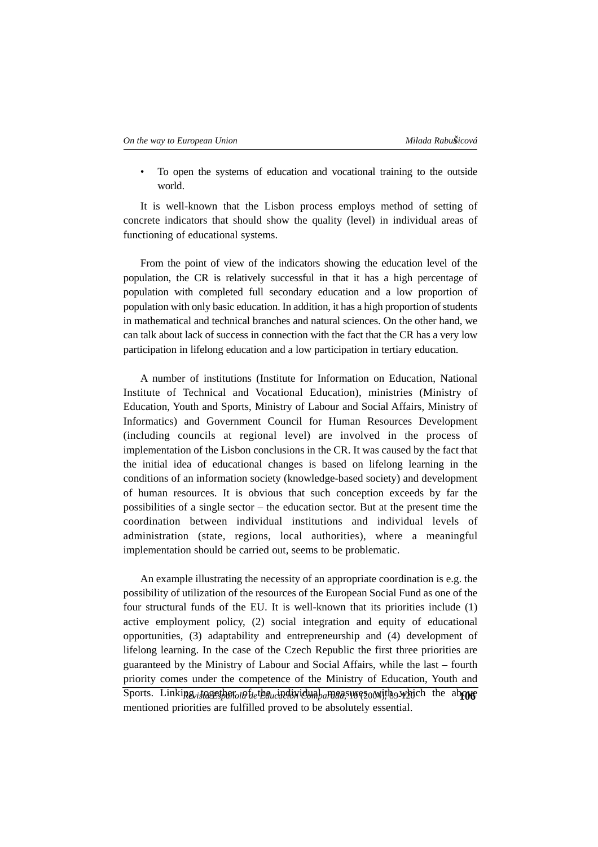• To open the systems of education and vocational training to the outside world.

It is well-known that the Lisbon process employs method of setting of concrete indicators that should show the quality (level) in individual areas of functioning of educational systems.

From the point of view of the indicators showing the education level of the population, the CR is relatively successful in that it has a high percentage of population with completed full secondary education and a low proportion of population with only basic education. In addition, it has a high proportion of students in mathematical and technical branches and natural sciences. On the other hand, we can talk about lack of success in connection with the fact that the CR has a very low participation in lifelong education and a low participation in tertiary education.

A number of institutions (Institute for Information on Education, National Institute of Technical and Vocational Education), ministries (Ministry of Education, Youth and Sports, Ministry of Labour and Social Affairs, Ministry of Informatics) and Government Council for Human Resources Development (including councils at regional level) are involved in the process of implementation of the Lisbon conclusions in the CR. It was caused by the fact that the initial idea of educational changes is based on lifelong learning in the conditions of an information society (knowledge-based society) and development of human resources. It is obvious that such conception exceeds by far the possibilities of a single sector – the education sector. But at the present time the coordination between individual institutions and individual levels of administration (state, regions, local authorities), where a meaningful implementation should be carried out, seems to be problematic.

An example illustrating the necessity of an appropriate coordination is e.g. the possibility of utilization of the resources of the European Social Fund as one of the four structural funds of the EU. It is well-known that its priorities include (1) active employment policy, (2) social integration and equity of educational opportunities, (3) adaptability and entrepreneurship and (4) development of lifelong learning. In the case of the Czech Republic the first three priorities are guaranteed by the Ministry of Labour and Social Affairs, while the last – fourth priority comes under the competence of the Ministry of Education, Youth and Sports. Linking<sub>vista</sub>gesher<sub>ol</sub>a f<sub>le</sub>theucindixidual ameas wegooxithe which the above mentioned priorities are fulfilled proved to be absolutely essential.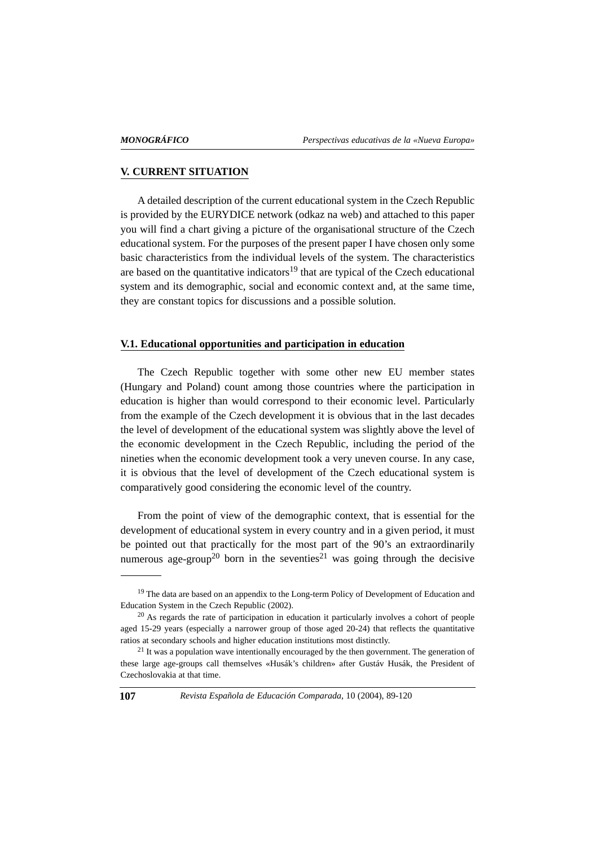#### **V. CURRENT SITUATION**

A detailed description of the current educational system in the Czech Republic is provided by the EURYDICE network (odkaz na web) and attached to this paper you will find a chart giving a picture of the organisational structure of the Czech educational system. For the purposes of the present paper I have chosen only some basic characteristics from the individual levels of the system. The characteristics are based on the quantitative indicators $19$  that are typical of the Czech educational system and its demographic, social and economic context and, at the same time, they are constant topics for discussions and a possible solution.

#### **V.1. Educational opportunities and participation in education**

The Czech Republic together with some other new EU member states (Hungary and Poland) count among those countries where the participation in education is higher than would correspond to their economic level. Particularly from the example of the Czech development it is obvious that in the last decades the level of development of the educational system was slightly above the level of the economic development in the Czech Republic, including the period of the nineties when the economic development took a very uneven course. In any case, it is obvious that the level of development of the Czech educational system is comparatively good considering the economic level of the country.

From the point of view of the demographic context, that is essential for the development of educational system in every country and in a given period, it must be pointed out that practically for the most part of the 90's an extraordinarily numerous age-group<sup>20</sup> born in the seventies<sup>21</sup> was going through the decisive

<sup>&</sup>lt;sup>19</sup> The data are based on an appendix to the Long-term Policy of Development of Education and Education System in the Czech Republic (2002).

<sup>&</sup>lt;sup>20</sup> As regards the rate of participation in education it particularly involves a cohort of people aged 15-29 years (especially a narrower group of those aged 20-24) that reflects the quantitative ratios at secondary schools and higher education institutions most distinctly.

 $21$  It was a population wave intentionally encouraged by the then government. The generation of these large age-groups call themselves «Husák's children» after Gustáv Husák, the President of Czechoslovakia at that time.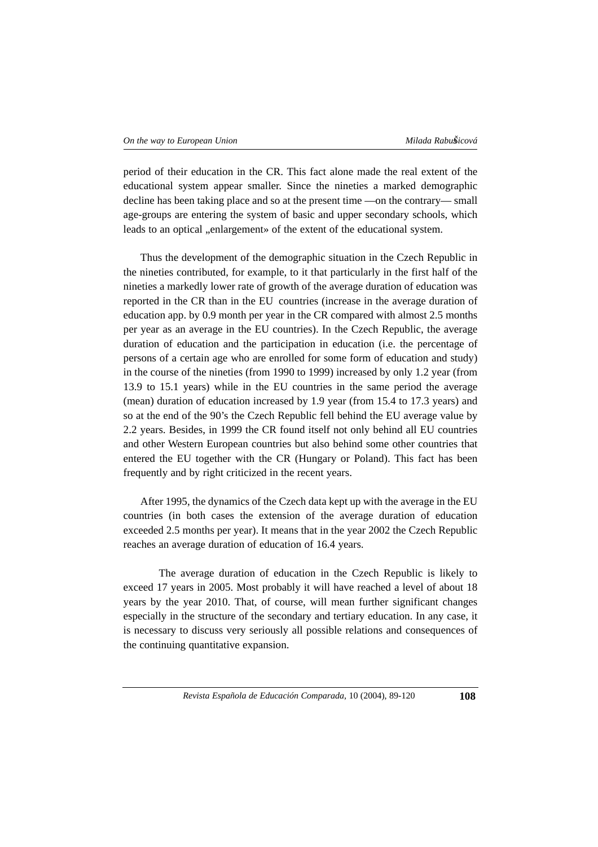period of their education in the CR. This fact alone made the real extent of the educational system appear smaller. Since the nineties a marked demographic decline has been taking place and so at the present time —on the contrary— small age-groups are entering the system of basic and upper secondary schools, which leads to an optical "enlargement» of the extent of the educational system.

Thus the development of the demographic situation in the Czech Republic in the nineties contributed, for example, to it that particularly in the first half of the nineties a markedly lower rate of growth of the average duration of education was reported in the CR than in the EU countries (increase in the average duration of education app. by 0.9 month per year in the CR compared with almost 2.5 months per year as an average in the EU countries). In the Czech Republic, the average duration of education and the participation in education (i.e. the percentage of persons of a certain age who are enrolled for some form of education and study) in the course of the nineties (from 1990 to 1999) increased by only 1.2 year (from 13.9 to 15.1 years) while in the EU countries in the same period the average (mean) duration of education increased by 1.9 year (from 15.4 to 17.3 years) and so at the end of the 90's the Czech Republic fell behind the EU average value by 2.2 years. Besides, in 1999 the CR found itself not only behind all EU countries and other Western European countries but also behind some other countries that entered the EU together with the CR (Hungary or Poland). This fact has been frequently and by right criticized in the recent years.

After 1995, the dynamics of the Czech data kept up with the average in the EU countries (in both cases the extension of the average duration of education exceeded 2.5 months per year). It means that in the year 2002 the Czech Republic reaches an average duration of education of 16.4 years.

The average duration of education in the Czech Republic is likely to exceed 17 years in 2005. Most probably it will have reached a level of about 18 years by the year 2010. That, of course, will mean further significant changes especially in the structure of the secondary and tertiary education. In any case, it is necessary to discuss very seriously all possible relations and consequences of the continuing quantitative expansion.

*Revista Española de Educación Comparada*, 10 (2004), 89-120 **108**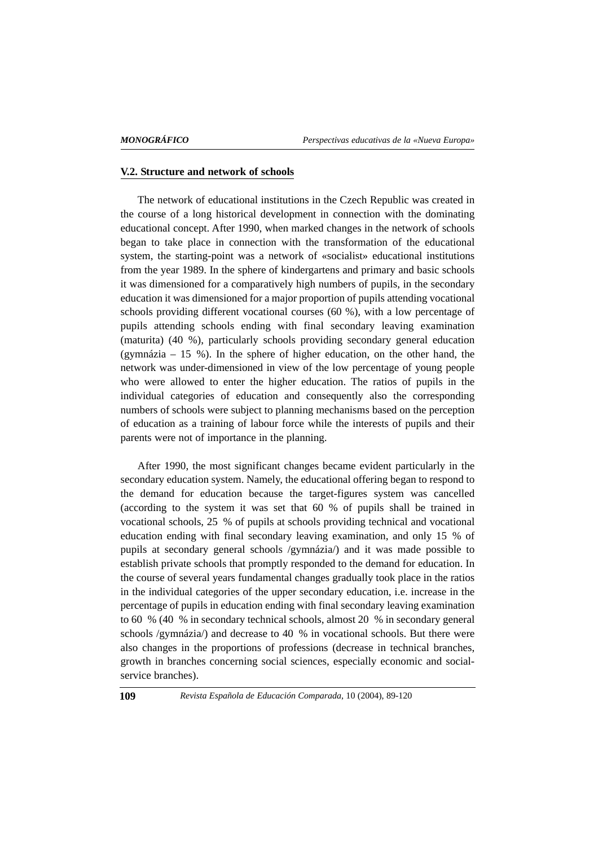#### **V.2. Structure and network of schools**

The network of educational institutions in the Czech Republic was created in the course of a long historical development in connection with the dominating educational concept. After 1990, when marked changes in the network of schools began to take place in connection with the transformation of the educational system, the starting-point was a network of «socialist» educational institutions from the year 1989. In the sphere of kindergartens and primary and basic schools it was dimensioned for a comparatively high numbers of pupils, in the secondary education it was dimensioned for a major proportion of pupils attending vocational schools providing different vocational courses (60 %), with a low percentage of pupils attending schools ending with final secondary leaving examination (maturita) (40 %), particularly schools providing secondary general education (gymnázia – 15 %). In the sphere of higher education, on the other hand, the network was under-dimensioned in view of the low percentage of young people who were allowed to enter the higher education. The ratios of pupils in the individual categories of education and consequently also the corresponding numbers of schools were subject to planning mechanisms based on the perception of education as a training of labour force while the interests of pupils and their parents were not of importance in the planning.

After 1990, the most significant changes became evident particularly in the secondary education system. Namely, the educational offering began to respond to the demand for education because the target-figures system was cancelled (according to the system it was set that 60 % of pupils shall be trained in vocational schools, 25 % of pupils at schools providing technical and vocational education ending with final secondary leaving examination, and only 15 % of pupils at secondary general schools /gymnázia/) and it was made possible to establish private schools that promptly responded to the demand for education. In the course of several years fundamental changes gradually took place in the ratios in the individual categories of the upper secondary education, i.e. increase in the percentage of pupils in education ending with final secondary leaving examination to 60 % (40 % in secondary technical schools, almost 20 % in secondary general schools /gymnázia/) and decrease to 40 % in vocational schools. But there were also changes in the proportions of professions (decrease in technical branches, growth in branches concerning social sciences, especially economic and socialservice branches).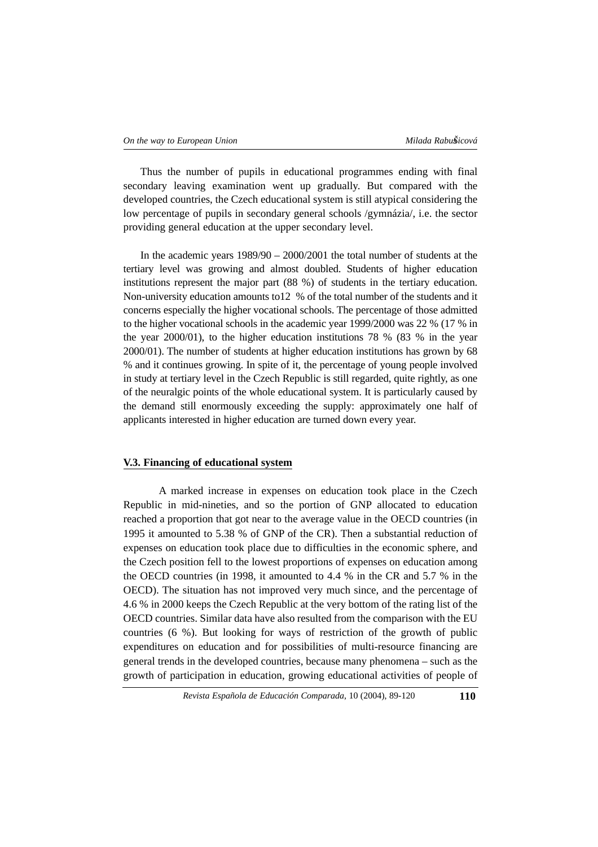Thus the number of pupils in educational programmes ending with final secondary leaving examination went up gradually. But compared with the developed countries, the Czech educational system is still atypical considering the low percentage of pupils in secondary general schools /gymnázia/, i.e. the sector providing general education at the upper secondary level.

In the academic years 1989/90 – 2000/2001 the total number of students at the tertiary level was growing and almost doubled. Students of higher education institutions represent the major part (88 %) of students in the tertiary education. Non-university education amounts to12 % of the total number of the students and it concerns especially the higher vocational schools. The percentage of those admitted to the higher vocational schools in the academic year 1999/2000 was 22 % (17 % in the year 2000/01), to the higher education institutions 78 % (83 % in the year 2000/01). The number of students at higher education institutions has grown by 68 % and it continues growing. In spite of it, the percentage of young people involved in study at tertiary level in the Czech Republic is still regarded, quite rightly, as one of the neuralgic points of the whole educational system. It is particularly caused by the demand still enormously exceeding the supply: approximately one half of applicants interested in higher education are turned down every year.

#### **V.3. Financing of educational system**

A marked increase in expenses on education took place in the Czech Republic in mid-nineties, and so the portion of GNP allocated to education reached a proportion that got near to the average value in the OECD countries (in 1995 it amounted to 5.38 % of GNP of the CR). Then a substantial reduction of expenses on education took place due to difficulties in the economic sphere, and the Czech position fell to the lowest proportions of expenses on education among the OECD countries (in 1998, it amounted to 4.4 % in the CR and 5.7 % in the OECD). The situation has not improved very much since, and the percentage of 4.6 % in 2000 keeps the Czech Republic at the very bottom of the rating list of the OECD countries. Similar data have also resulted from the comparison with the EU countries (6 %). But looking for ways of restriction of the growth of public expenditures on education and for possibilities of multi-resource financing are general trends in the developed countries, because many phenomena – such as the growth of participation in education, growing educational activities of people of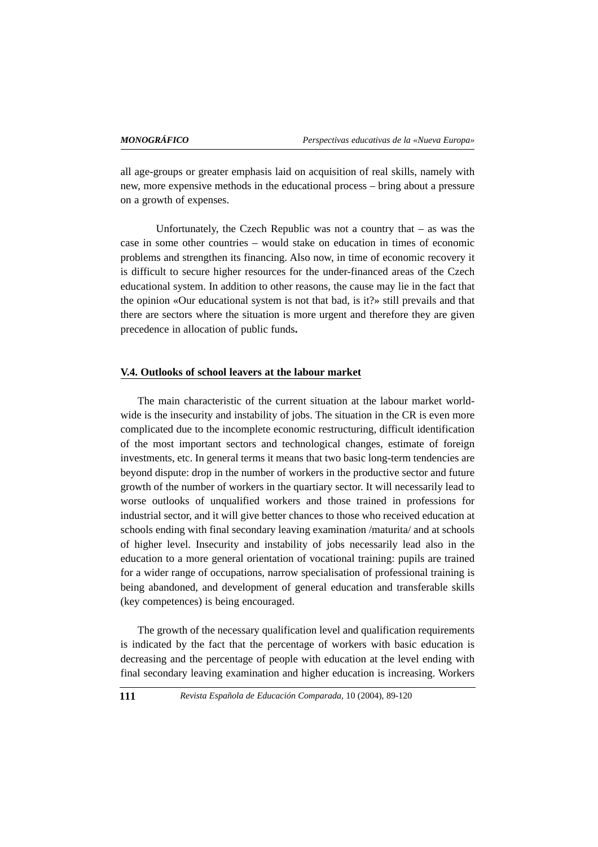all age-groups or greater emphasis laid on acquisition of real skills, namely with new, more expensive methods in the educational process – bring about a pressure on a growth of expenses.

Unfortunately, the Czech Republic was not a country that – as was the case in some other countries – would stake on education in times of economic problems and strengthen its financing. Also now, in time of economic recovery it is difficult to secure higher resources for the under-financed areas of the Czech educational system. In addition to other reasons, the cause may lie in the fact that the opinion «Our educational system is not that bad, is it?» still prevails and that there are sectors where the situation is more urgent and therefore they are given precedence in allocation of public funds**.** 

#### **V.4. Outlooks of school leavers at the labour market**

The main characteristic of the current situation at the labour market worldwide is the insecurity and instability of jobs. The situation in the CR is even more complicated due to the incomplete economic restructuring, difficult identification of the most important sectors and technological changes, estimate of foreign investments, etc. In general terms it means that two basic long-term tendencies are beyond dispute: drop in the number of workers in the productive sector and future growth of the number of workers in the quartiary sector. It will necessarily lead to worse outlooks of unqualified workers and those trained in professions for industrial sector, and it will give better chances to those who received education at schools ending with final secondary leaving examination /maturita/ and at schools of higher level. Insecurity and instability of jobs necessarily lead also in the education to a more general orientation of vocational training: pupils are trained for a wider range of occupations, narrow specialisation of professional training is being abandoned, and development of general education and transferable skills (key competences) is being encouraged.

The growth of the necessary qualification level and qualification requirements is indicated by the fact that the percentage of workers with basic education is decreasing and the percentage of people with education at the level ending with final secondary leaving examination and higher education is increasing. Workers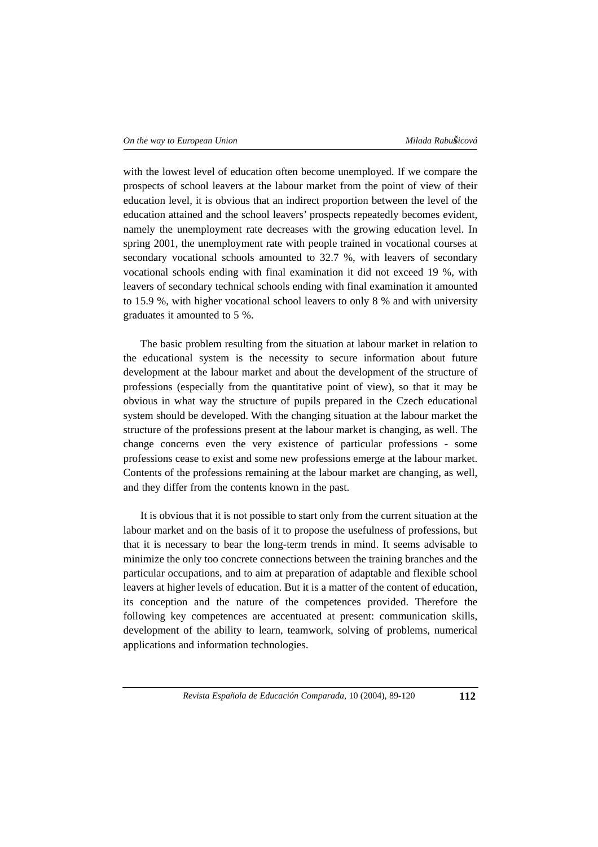with the lowest level of education often become unemployed. If we compare the prospects of school leavers at the labour market from the point of view of their education level, it is obvious that an indirect proportion between the level of the education attained and the school leavers' prospects repeatedly becomes evident, namely the unemployment rate decreases with the growing education level. In spring 2001, the unemployment rate with people trained in vocational courses at secondary vocational schools amounted to 32.7 %, with leavers of secondary vocational schools ending with final examination it did not exceed 19 %, with leavers of secondary technical schools ending with final examination it amounted to 15.9 %, with higher vocational school leavers to only 8 % and with university graduates it amounted to 5 %.

The basic problem resulting from the situation at labour market in relation to the educational system is the necessity to secure information about future development at the labour market and about the development of the structure of professions (especially from the quantitative point of view), so that it may be obvious in what way the structure of pupils prepared in the Czech educational system should be developed. With the changing situation at the labour market the structure of the professions present at the labour market is changing, as well. The change concerns even the very existence of particular professions - some professions cease to exist and some new professions emerge at the labour market. Contents of the professions remaining at the labour market are changing, as well, and they differ from the contents known in the past.

It is obvious that it is not possible to start only from the current situation at the labour market and on the basis of it to propose the usefulness of professions, but that it is necessary to bear the long-term trends in mind. It seems advisable to minimize the only too concrete connections between the training branches and the particular occupations, and to aim at preparation of adaptable and flexible school leavers at higher levels of education. But it is a matter of the content of education, its conception and the nature of the competences provided. Therefore the following key competences are accentuated at present: communication skills, development of the ability to learn, teamwork, solving of problems, numerical applications and information technologies.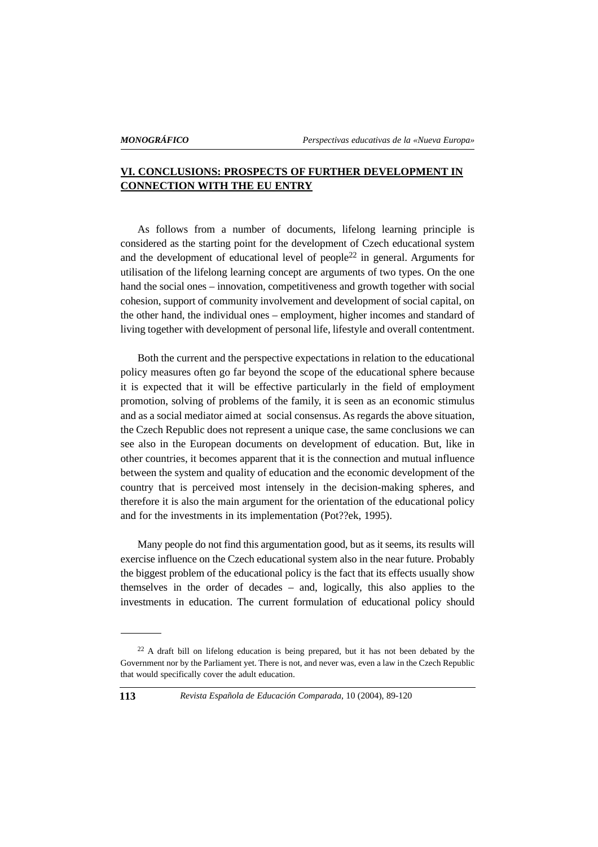# **VI. CONCLUSIONS: PROSPECTS OF FURTHER DEVELOPMENT IN CONNECTION WITH THE EU ENTRY**

As follows from a number of documents, lifelong learning principle is considered as the starting point for the development of Czech educational system and the development of educational level of people<sup>22</sup> in general. Arguments for utilisation of the lifelong learning concept are arguments of two types. On the one hand the social ones – innovation, competitiveness and growth together with social cohesion, support of community involvement and development of social capital, on the other hand, the individual ones – employment, higher incomes and standard of living together with development of personal life, lifestyle and overall contentment.

Both the current and the perspective expectations in relation to the educational policy measures often go far beyond the scope of the educational sphere because it is expected that it will be effective particularly in the field of employment promotion, solving of problems of the family, it is seen as an economic stimulus and as a social mediator aimed at social consensus. As regards the above situation, the Czech Republic does not represent a unique case, the same conclusions we can see also in the European documents on development of education. But, like in other countries, it becomes apparent that it is the connection and mutual influence between the system and quality of education and the economic development of the country that is perceived most intensely in the decision-making spheres, and therefore it is also the main argument for the orientation of the educational policy and for the investments in its implementation (Pot??ek, 1995).

Many people do not find this argumentation good, but as it seems, its results will exercise influence on the Czech educational system also in the near future. Probably the biggest problem of the educational policy is the fact that its effects usually show themselves in the order of decades – and, logically, this also applies to the investments in education. The current formulation of educational policy should

<sup>&</sup>lt;sup>22</sup> A draft bill on lifelong education is being prepared, but it has not been debated by the Government nor by the Parliament yet. There is not, and never was, even a law in the Czech Republic that would specifically cover the adult education.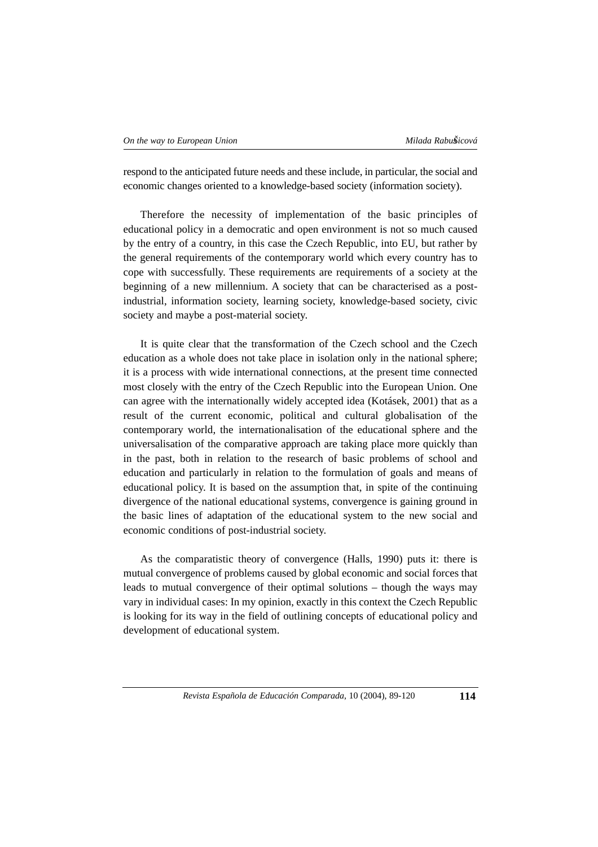respond to the anticipated future needs and these include, in particular, the social and economic changes oriented to a knowledge-based society (information society).

Therefore the necessity of implementation of the basic principles of educational policy in a democratic and open environment is not so much caused by the entry of a country, in this case the Czech Republic, into EU, but rather by the general requirements of the contemporary world which every country has to cope with successfully. These requirements are requirements of a society at the beginning of a new millennium. A society that can be characterised as a postindustrial, information society, learning society, knowledge-based society, civic society and maybe a post-material society.

It is quite clear that the transformation of the Czech school and the Czech education as a whole does not take place in isolation only in the national sphere; it is a process with wide international connections, at the present time connected most closely with the entry of the Czech Republic into the European Union. One can agree with the internationally widely accepted idea (Kotásek, 2001) that as a result of the current economic, political and cultural globalisation of the contemporary world, the internationalisation of the educational sphere and the universalisation of the comparative approach are taking place more quickly than in the past, both in relation to the research of basic problems of school and education and particularly in relation to the formulation of goals and means of educational policy. It is based on the assumption that, in spite of the continuing divergence of the national educational systems, convergence is gaining ground in the basic lines of adaptation of the educational system to the new social and economic conditions of post-industrial society.

As the comparatistic theory of convergence (Halls, 1990) puts it: there is mutual convergence of problems caused by global economic and social forces that leads to mutual convergence of their optimal solutions – though the ways may vary in individual cases: In my opinion, exactly in this context the Czech Republic is looking for its way in the field of outlining concepts of educational policy and development of educational system.

*Revista Española de Educación Comparada*, 10 (2004), 89-120 **114**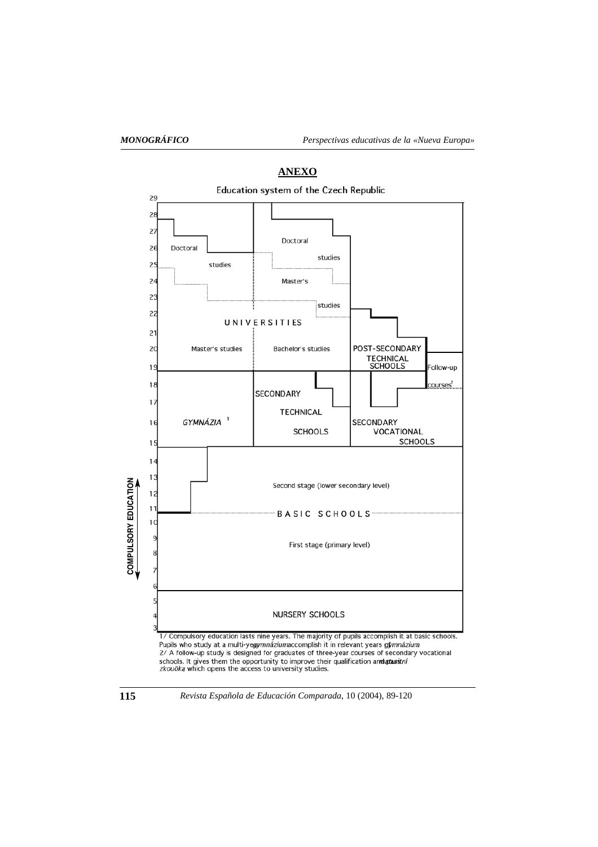

**ANEXO**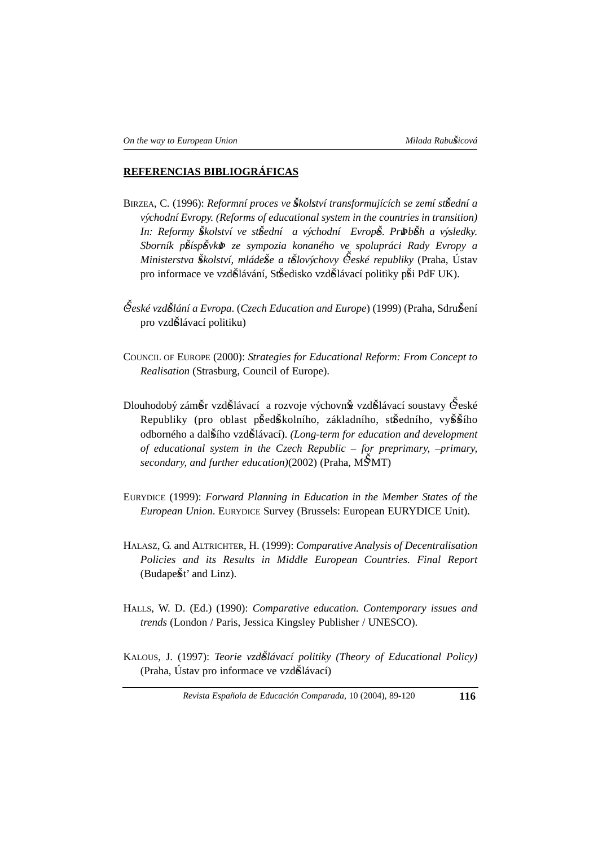## **REFERENCIAS BIBLIOGRÁFICAS**

- BIRZEA, C. (1996): *Reformní proces ve Školství transformujících se zemí st*Šední a *vy´chodní Evropy. (Reforms of educational system in the countries in transition)* In: Reformy Školství ve stŠední a východní Evropě. Pribběh a výsledky. *Sborník prŠíspeŠvkuÞ ze sympozia konaného ve spolupráci Rady Evropy a Ministerstva Školství, mládeŠe a tŠlovýchovy České republiky* (Praha, Ústav pro informace ve vzd $\tilde{\mathbf{S}}$ lávání, St $\tilde{\mathbf{S}}$ edisko vzd $\tilde{\mathbf{S}}$ lávací politiky p $\tilde{\mathbf{S}}$ i PdF UK).
- $\mathcal{\hat{C}}$ *eské vzd*ilání a Evropa. (*Czech Education and Europe*) (1999) (Praha, Sdru**Š**ení pro vzdŠlávací politiku)
- COUNCIL OF EUROPE (2000): *Strategies for Educational Reform: From Concept to Realisation* (Strasburg, Council of Europe).
- Dlouhodobý zám $\check{\sigma}$ r vzd $\check{\sigma}$ lávací a rozvoje výchovn $\check{\sigma}$  vzd $\check{\sigma}$ lávací soustavy  $\check{\sigma}$ eské Republiky (pro oblast předškolního, základního, středního, vyššího odborného a dalsŠího vzdeŠlávací). *(Long-term for education and development of educational system in the Czech Republic – for preprimary, –primary, secondary, and further education*)(2002) (Praha, MSMT)
- EURYDICE (1999): *Forward Planning in Education in the Member States of the European Union*. EURYDICE Survey (Brussels: European EURYDICE Unit).
- HALASZ, G. and ALTRICHTER, H. (1999): *Comparative Analysis of Decentralisation Policies and its Results in Middle European Countries. Final Report* (Budapešt' and Linz).
- HALLS, W. D. (Ed.) (1990): *Comparative education. Contemporary issues and trends* (London / Paris, Jessica Kingsley Publisher / UNESCO).
- KALOUS, J. (1997): *Teorie vzdeŠlávací politiky (Theory of Educational Policy)*  $(Praha, Ustav pro informace ve vzd $\tilde{S}la$$

*Revista Española de Educación Comparada*, 10 (2004), 89-120 **116**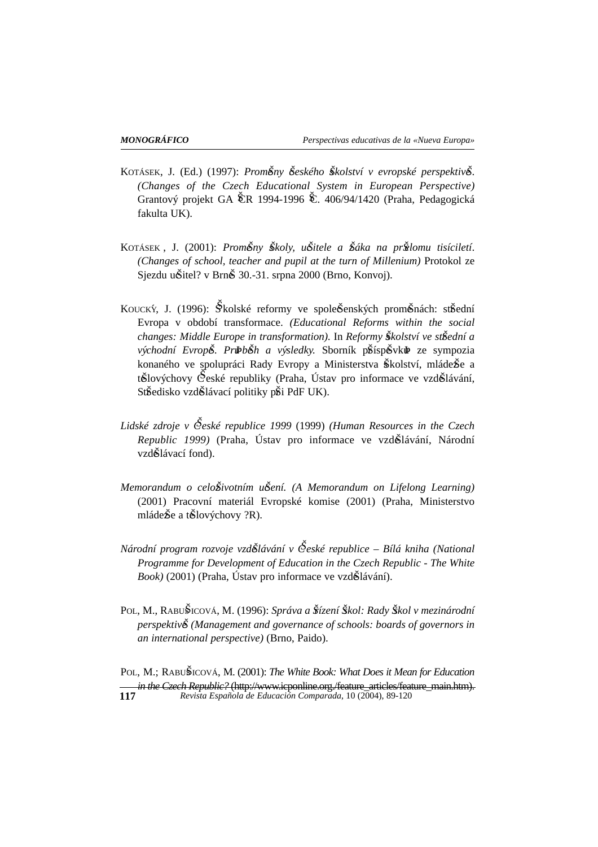- KOTÁSEK, J. (Ed.) (1997): *Proměny Šeského Školství v evropské perspektivě*. *(Changes of the Czech Educational System in European Perspective)* Grantový projekt GA ČR 1994-1996 Č. 406/94/1420 (Praha, Pedagogická fakulta UK).
- KOTÁSEK, J. (2001): *PromĚny Školy, uŠitele a Šáka na prŠlomu tisíciletí*. *(Changes of school, teacher and pupil at the turn of Millenium)* Protokol ze Sjezdu uŠitel? v BrnŠ 30.-31. srpna 2000 (Brno, Konvoj).
- KOUCKÝ, J. (1996): Skolské reformy ve spoleŠenských proměnách: střední Evropa v období transformace. *(Educational Reforms within the social changes: Middle Europe in transformation).* In *Reformy sŠkolství ve strŠední a východní Evropě. Prubběh a výsledky.* Sborník příspěvku<sup>p</sup> ze sympozia konaného ve spolupráci Rady Evropy a Ministerstva Školství, mláde $\check{g}$ e a t $\check{\mathbf{S}}$ lovýchovy  $\check{\mathbf{C}}$ eské republiky (Praha, Ústav pro informace ve vzd $\check{\mathbf{S}}$ lávání, StŠedisko vzdŠlávací politiky pŠi PdF UK).
- *Lidské zdroje v CŠeské republice 1999* (1999) *(Human Resources in the Czech Republic 1999*) (Praha, Ústav pro informace ve vzd**Š**lávání, Národní vzd**Š**lávací fond).
- *Memorandum o celo* $\delta$ *ivotním u* $\delta$ *ení. (A Memorandum on Lifelong Learning)* (2001) Pracovní materiál Evropské komise (2001) (Praha, Ministerstvo mláde $\check{\mathbf{g}}$ e a t $\check{\mathbf{g}}$ lovýchovy ?R).
- *Národní program rozvoje vzdeŠlávání v CŠeské republice Bílá kniha (National Programme for Development of Education in the Czech Republic - The White Book*) (2001) (Praha, Ústav pro informace ve vzd**Š**lávání).
- POL, M., RABUŠICOVÁ, M. (1996): *Správa a Šízení Škol: Rady Škol v mezinárodní perspektiv* $\check{\delta}$  (Management and governance of schools: boards of governors in *an international perspective)* (Brno, Paido).

POL, M.; RABUSŠICOVÁ, M. (2001): *The White Book: What Does it Mean for Education in the Czech Republic?* (http://www.icponline.org./feature\_articles/feature\_main.htm). **117** *Revista Española de Educación Comparada*, 10 (2004), 89-120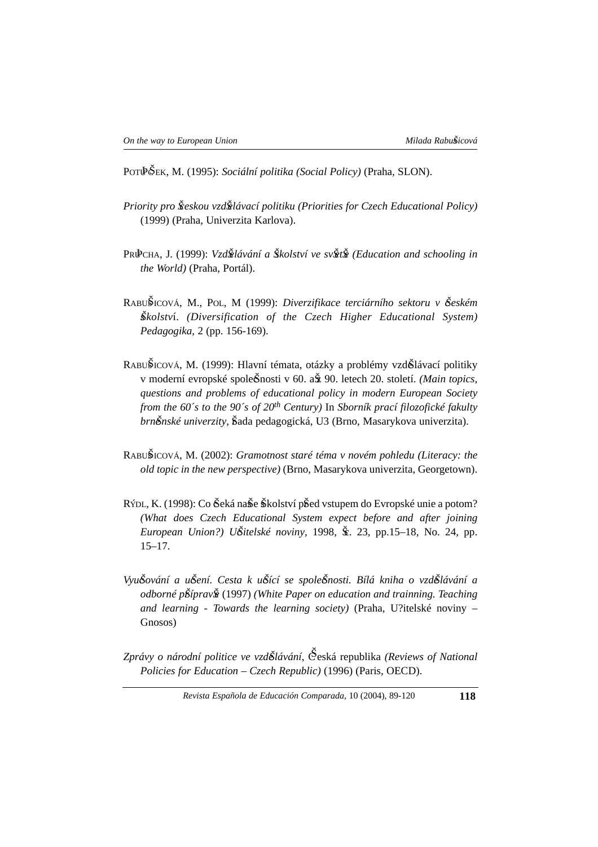POT $\check{\Phi}$ ŠEK, M. (1995): *Sociální politika (Social Policy)* (Praha, SLON).

- *Priority pro Šceskou vzdŠelávací politiku (Priorities for Czech Educational Policy)* (1999) (Praha, Univerzita Karlova).
- PRUÞCHA, J. (1999): *VzdŠelávání a Šskolství ve svŠetŠe (Education and schooling in the World)* (Praha, Portál).
- RABUŠICOVÁ, M., POL, M (1999): *Diverzifikace terciárního sektoru v Šeském sŠkolstv*í. *(Diversification of the Czech Higher Educational System) Pedagogika*, 2 (pp. 156-169).
- RABUŠICOVÁ, M. (1999): Hlavní témata, otázky a problémy vzdŠlávací politiky v moderní evropské spole $\check{S}$ nosti v 60. a $\check{S}$  90. letech 20. století. *(Main topics, questions and problems of educational policy in modern European Society from the 60´s to the 90´s of 20th Century)* In *Sborník prací filozofické fakulty brněnské univerzity*, Šada pedagogická, U3 (Brno, Masarykova univerzita).
- RABUSŠICOVÁ, M. (2002): *Gramotnost staré téma v novém pohledu (Literacy: the old topic in the new perspective)* (Brno, Masarykova univerzita, Georgetown).
- RÝDL, K. (1998): Co Šeká naŠe Školství pŠed vstupem do Evropské unie a potom? *(What does Czech Educational System expect before and after joining European Union?) UŠitelské noviny*, 1998, Šr. 23, pp.15–18, No. 24, pp. 15–17.
- *VyucŠování a ucŠení. Cesta k ucŠící se spolecŠnosti. Bílá kniha o vzdeŠlávání a odborné p*Šíprav $\tilde{\mathbf{g}}$  (1997) *(White Paper on education and trainning. Teaching and learning - Towards the learning society)* (Praha, U?itelské noviny – Gnosos)

*Zprávy o národní politice ve vzdeŠlávání*, CŠeská republika *(Reviews of National Policies for Education – Czech Republic)* (1996) (Paris, OECD).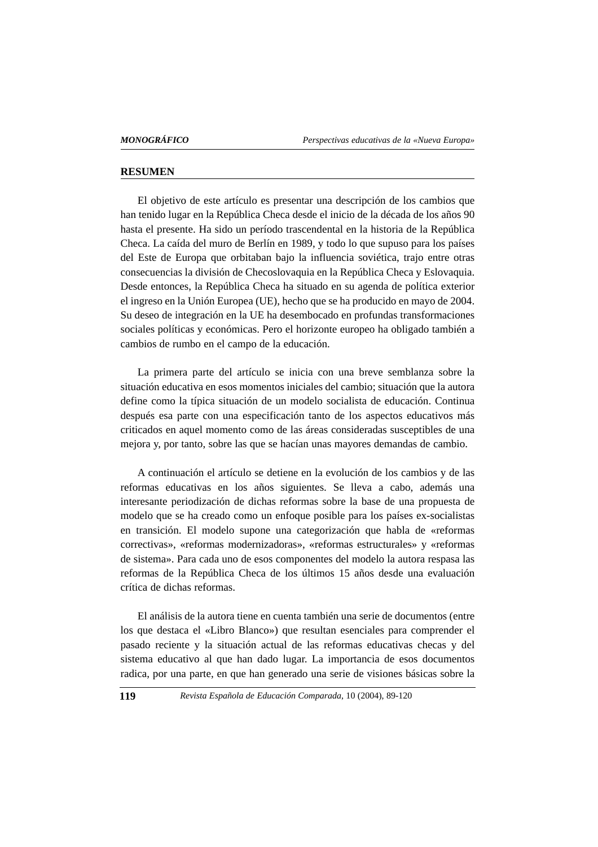#### **RESUMEN**

El objetivo de este artículo es presentar una descripción de los cambios que han tenido lugar en la República Checa desde el inicio de la década de los años 90 hasta el presente. Ha sido un período trascendental en la historia de la República Checa. La caída del muro de Berlín en 1989, y todo lo que supuso para los países del Este de Europa que orbitaban bajo la influencia soviética, trajo entre otras consecuencias la división de Checoslovaquia en la República Checa y Eslovaquia. Desde entonces, la República Checa ha situado en su agenda de política exterior el ingreso en la Unión Europea (UE), hecho que se ha producido en mayo de 2004. Su deseo de integración en la UE ha desembocado en profundas transformaciones sociales políticas y económicas. Pero el horizonte europeo ha obligado también a cambios de rumbo en el campo de la educación.

La primera parte del artículo se inicia con una breve semblanza sobre la situación educativa en esos momentos iniciales del cambio; situación que la autora define como la típica situación de un modelo socialista de educación. Continua después esa parte con una especificación tanto de los aspectos educativos más criticados en aquel momento como de las áreas consideradas susceptibles de una mejora y, por tanto, sobre las que se hacían unas mayores demandas de cambio.

A continuación el artículo se detiene en la evolución de los cambios y de las reformas educativas en los años siguientes. Se lleva a cabo, además una interesante periodización de dichas reformas sobre la base de una propuesta de modelo que se ha creado como un enfoque posible para los países ex-socialistas en transición. El modelo supone una categorización que habla de «reformas correctivas», «reformas modernizadoras», «reformas estructurales» y «reformas de sistema». Para cada uno de esos componentes del modelo la autora respasa las reformas de la República Checa de los últimos 15 años desde una evaluación crítica de dichas reformas.

El análisis de la autora tiene en cuenta también una serie de documentos (entre los que destaca el «Libro Blanco») que resultan esenciales para comprender el pasado reciente y la situación actual de las reformas educativas checas y del sistema educativo al que han dado lugar. La importancia de esos documentos radica, por una parte, en que han generado una serie de visiones básicas sobre la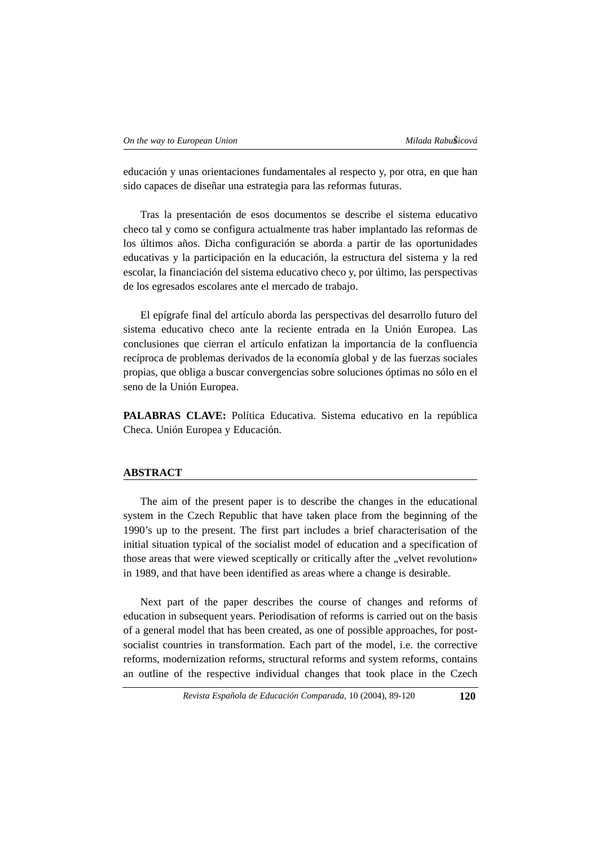educación y unas orientaciones fundamentales al respecto y, por otra, en que han sido capaces de diseñar una estrategia para las reformas futuras.

Tras la presentación de esos documentos se describe el sistema educativo checo tal y como se configura actualmente tras haber implantado las reformas de los últimos años. Dicha configuración se aborda a partir de las oportunidades educativas y la participación en la educación, la estructura del sistema y la red escolar, la financiación del sistema educativo checo y, por último, las perspectivas de los egresados escolares ante el mercado de trabajo.

El epígrafe final del artículo aborda las perspectivas del desarrollo futuro del sistema educativo checo ante la reciente entrada en la Unión Europea. Las conclusiones que cierran el artículo enfatizan la importancia de la confluencia recíproca de problemas derivados de la economía global y de las fuerzas sociales propias, que obliga a buscar convergencias sobre soluciones óptimas no sólo en el seno de la Unión Europea.

PALABRAS CLAVE: Política Educativa. Sistema educativo en la república Checa. Unión Europea y Educación.

#### **ABSTRACT**

The aim of the present paper is to describe the changes in the educational system in the Czech Republic that have taken place from the beginning of the 1990's up to the present. The first part includes a brief characterisation of the initial situation typical of the socialist model of education and a specification of those areas that were viewed sceptically or critically after the "velvet revolution» in 1989, and that have been identified as areas where a change is desirable.

Next part of the paper describes the course of changes and reforms of education in subsequent years. Periodisation of reforms is carried out on the basis of a general model that has been created, as one of possible approaches, for postsocialist countries in transformation. Each part of the model, i.e. the corrective reforms, modernization reforms, structural reforms and system reforms, contains an outline of the respective individual changes that took place in the Czech